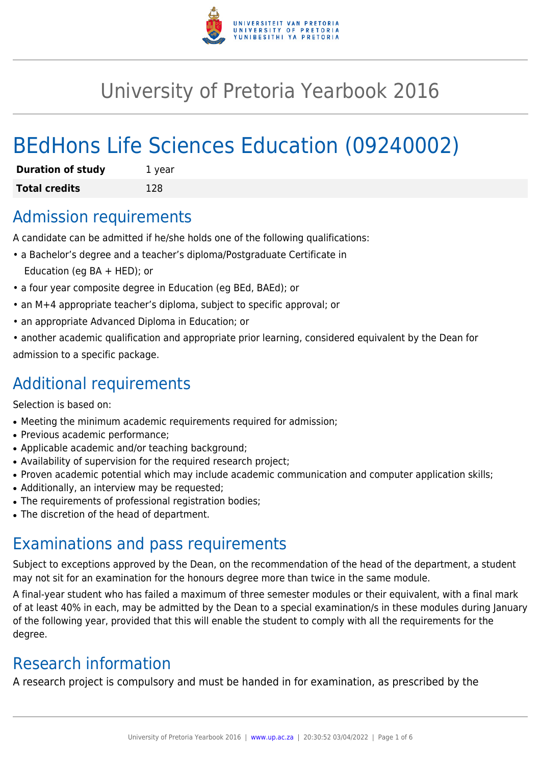

# University of Pretoria Yearbook 2016

# BEdHons Life Sciences Education (09240002)

| <b>Duration of study</b> | 1 year |
|--------------------------|--------|
| <b>Total credits</b>     | 128    |

### Admission requirements

A candidate can be admitted if he/she holds one of the following qualifications:

- a Bachelor's degree and a teacher's diploma/Postgraduate Certificate in Education (eg BA + HED); or
- a four year composite degree in Education (eg BEd, BAEd); or
- an M+4 appropriate teacher's diploma, subject to specific approval; or
- an appropriate Advanced Diploma in Education; or
- another academic qualification and appropriate prior learning, considered equivalent by the Dean for admission to a specific package.

## Additional requirements

Selection is based on:

- Meeting the minimum academic requirements required for admission;
- Previous academic performance:
- Applicable academic and/or teaching background;
- Availability of supervision for the required research project;
- Proven academic potential which may include academic communication and computer application skills;
- Additionally, an interview may be requested;
- The requirements of professional registration bodies;
- The discretion of the head of department.

# Examinations and pass requirements

Subject to exceptions approved by the Dean, on the recommendation of the head of the department, a student may not sit for an examination for the honours degree more than twice in the same module.

A final-year student who has failed a maximum of three semester modules or their equivalent, with a final mark of at least 40% in each, may be admitted by the Dean to a special examination/s in these modules during January of the following year, provided that this will enable the student to comply with all the requirements for the degree.

# Research information

A research project is compulsory and must be handed in for examination, as prescribed by the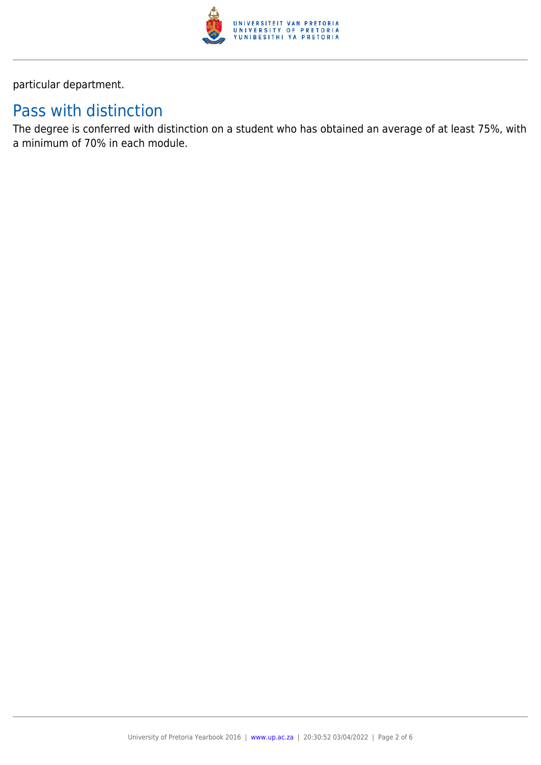

particular department.

# Pass with distinction

The degree is conferred with distinction on a student who has obtained an average of at least 75%, with a minimum of 70% in each module.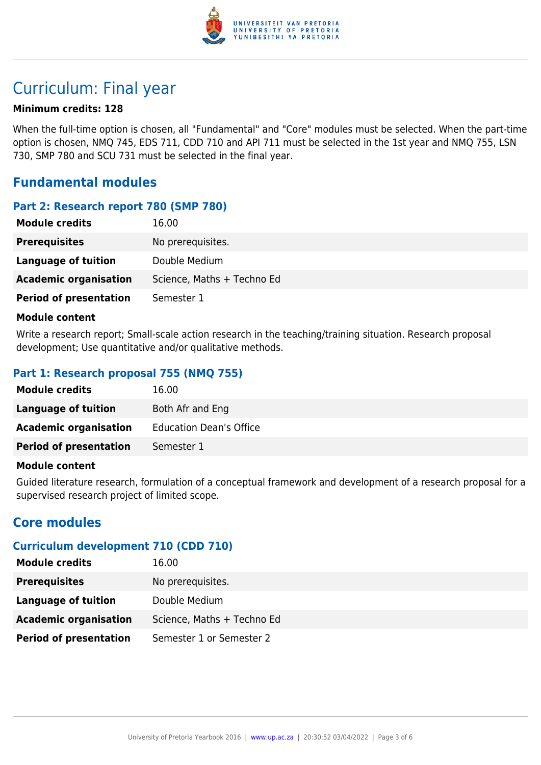

# Curriculum: Final year

#### **Minimum credits: 128**

When the full-time option is chosen, all "Fundamental" and "Core" modules must be selected. When the part-time option is chosen, NMQ 745, EDS 711, CDD 710 and API 711 must be selected in the 1st year and NMQ 755, LSN 730, SMP 780 and SCU 731 must be selected in the final year.

### **Fundamental modules**

#### **Part 2: Research report 780 (SMP 780)**

| <b>Module credits</b>         | 16.00                      |
|-------------------------------|----------------------------|
| <b>Prerequisites</b>          | No prerequisites.          |
| Language of tuition           | Double Medium              |
| <b>Academic organisation</b>  | Science, Maths + Techno Ed |
| <b>Period of presentation</b> | Semester 1                 |

#### **Module content**

Write a research report; Small-scale action research in the teaching/training situation. Research proposal development; Use quantitative and/or qualitative methods.

#### **Part 1: Research proposal 755 (NMQ 755)**

| <b>Module credits</b>         | 16.00                          |
|-------------------------------|--------------------------------|
| Language of tuition           | Both Afr and Eng               |
| <b>Academic organisation</b>  | <b>Education Dean's Office</b> |
| <b>Period of presentation</b> | Semester 1                     |

#### **Module content**

Guided literature research, formulation of a conceptual framework and development of a research proposal for a supervised research project of limited scope.

### **Core modules**

### **Curriculum development 710 (CDD 710)**

| 16.00                      |
|----------------------------|
| No prerequisites.          |
| Double Medium              |
| Science, Maths + Techno Ed |
| Semester 1 or Semester 2   |
|                            |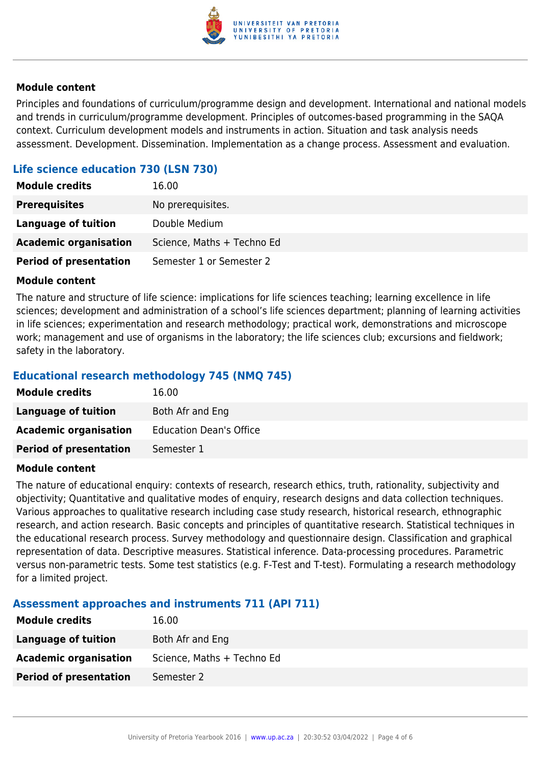

#### **Module content**

Principles and foundations of curriculum/programme design and development. International and national models and trends in curriculum/programme development. Principles of outcomes-based programming in the SAQA context. Curriculum development models and instruments in action. Situation and task analysis needs assessment. Development. Dissemination. Implementation as a change process. Assessment and evaluation.

### **Life science education 730 (LSN 730)**

| 16.00                      |
|----------------------------|
| No prerequisites.          |
| Double Medium              |
| Science, Maths + Techno Ed |
| Semester 1 or Semester 2   |
|                            |

#### **Module content**

The nature and structure of life science: implications for life sciences teaching; learning excellence in life sciences; development and administration of a school's life sciences department; planning of learning activities in life sciences; experimentation and research methodology; practical work, demonstrations and microscope work; management and use of organisms in the laboratory; the life sciences club; excursions and fieldwork; safety in the laboratory.

#### **Educational research methodology 745 (NMQ 745)**

| <b>Module credits</b>         | 16.00                          |
|-------------------------------|--------------------------------|
| Language of tuition           | Both Afr and Eng               |
| <b>Academic organisation</b>  | <b>Education Dean's Office</b> |
| <b>Period of presentation</b> | Semester 1                     |

#### **Module content**

The nature of educational enquiry: contexts of research, research ethics, truth, rationality, subjectivity and objectivity; Quantitative and qualitative modes of enquiry, research designs and data collection techniques. Various approaches to qualitative research including case study research, historical research, ethnographic research, and action research. Basic concepts and principles of quantitative research. Statistical techniques in the educational research process. Survey methodology and questionnaire design. Classification and graphical representation of data. Descriptive measures. Statistical inference. Data-processing procedures. Parametric versus non-parametric tests. Some test statistics (e.g. F-Test and T-test). Formulating a research methodology for a limited project.

#### **Assessment approaches and instruments 711 (API 711)**

| <b>Module credits</b>         | 16.00                      |
|-------------------------------|----------------------------|
| <b>Language of tuition</b>    | Both Afr and Eng           |
| <b>Academic organisation</b>  | Science, Maths + Techno Ed |
| <b>Period of presentation</b> | Semester 2                 |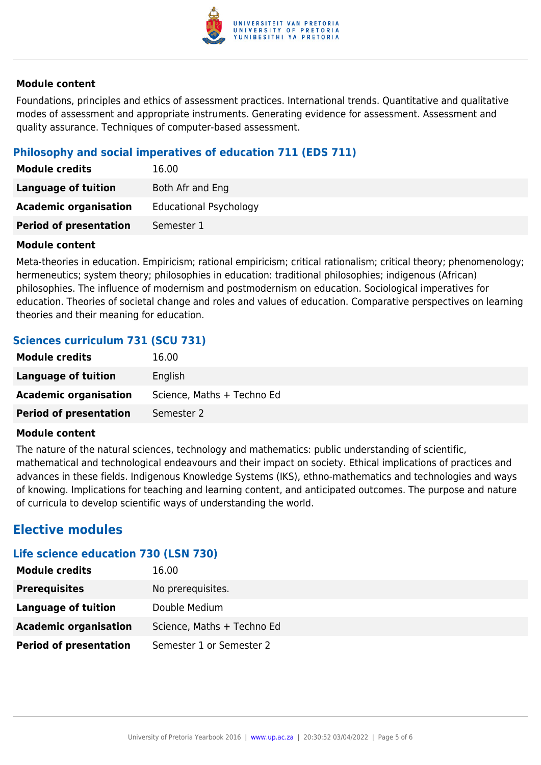

#### **Module content**

Foundations, principles and ethics of assessment practices. International trends. Quantitative and qualitative modes of assessment and appropriate instruments. Generating evidence for assessment. Assessment and quality assurance. Techniques of computer-based assessment.

#### **Philosophy and social imperatives of education 711 (EDS 711)**

| <b>Module credits</b>         | 16.00                         |
|-------------------------------|-------------------------------|
| Language of tuition           | Both Afr and Eng              |
| <b>Academic organisation</b>  | <b>Educational Psychology</b> |
| <b>Period of presentation</b> | Semester 1                    |

#### **Module content**

Meta-theories in education. Empiricism; rational empiricism; critical rationalism; critical theory; phenomenology; hermeneutics; system theory; philosophies in education: traditional philosophies; indigenous (African) philosophies. The influence of modernism and postmodernism on education. Sociological imperatives for education. Theories of societal change and roles and values of education. Comparative perspectives on learning theories and their meaning for education.

#### **Sciences curriculum 731 (SCU 731)**

| <b>Module credits</b>         | 16.00                      |
|-------------------------------|----------------------------|
| Language of tuition           | English                    |
| <b>Academic organisation</b>  | Science, Maths + Techno Ed |
| <b>Period of presentation</b> | Semester 2                 |

#### **Module content**

The nature of the natural sciences, technology and mathematics: public understanding of scientific, mathematical and technological endeavours and their impact on society. Ethical implications of practices and advances in these fields. Indigenous Knowledge Systems (IKS), ethno-mathematics and technologies and ways of knowing. Implications for teaching and learning content, and anticipated outcomes. The purpose and nature of curricula to develop scientific ways of understanding the world.

### **Elective modules**

#### **Life science education 730 (LSN 730)**

| <b>Module credits</b>         | 16.00                      |
|-------------------------------|----------------------------|
| <b>Prerequisites</b>          | No prerequisites.          |
| Language of tuition           | Double Medium              |
| <b>Academic organisation</b>  | Science, Maths + Techno Ed |
| <b>Period of presentation</b> | Semester 1 or Semester 2   |